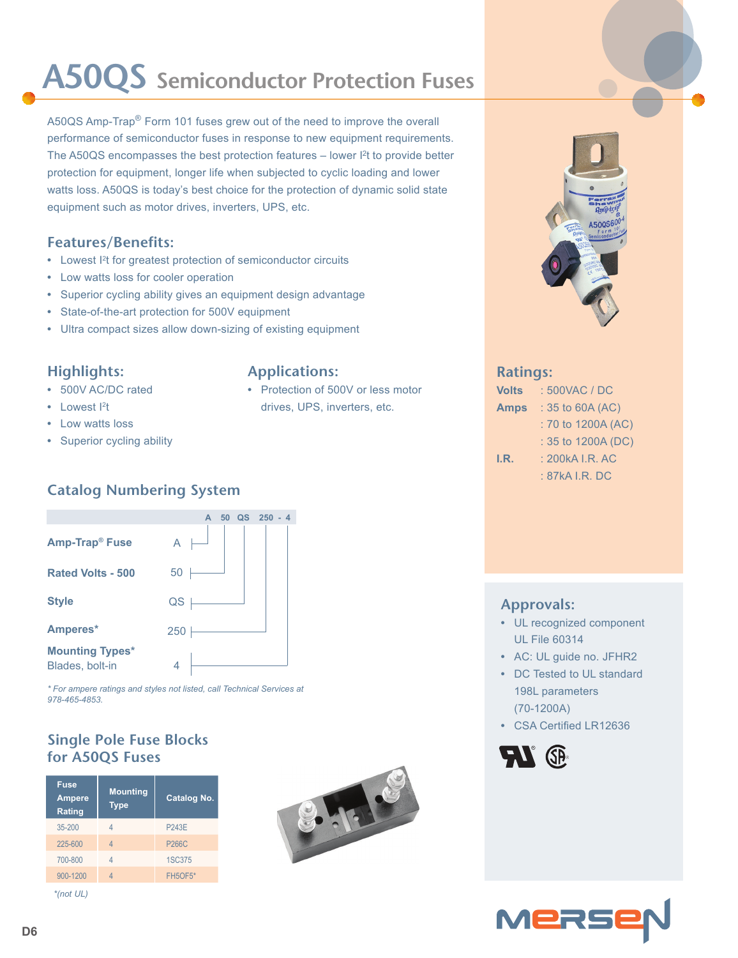# **A50QS Semiconductor Protection Fuses**

A50QS Amp-Trap<sup>®</sup> Form 101 fuses grew out of the need to improve the overall performance of semiconductor fuses in response to new equipment requirements. The A50QS encompasses the best protection features – lower I<sup>2</sup>t to provide better protection for equipment, longer life when subjected to cyclic loading and lower watts loss. A50QS is today's best choice for the protection of dynamic solid state equipment such as motor drives, inverters, UPS, etc.

#### **Features/Benefits:**

- Lowest <sup>2</sup>t for greatest protection of semiconductor circuits
- **•** Low watts loss for cooler operation
- **•** Superior cycling ability gives an equipment design advantage
- **•** State-of-the-art protection for 500V equipment
- **•** Ultra compact sizes allow down-sizing of existing equipment

#### **Highlights:**

- **•** 500V AC/DC rated
- Lowest <sup>2</sup>t
- **•** Low watts loss
- **•** Superior cycling ability

#### **Applications:**

**•** Protection of 500V or less motor drives, UPS, inverters, etc.



#### **Ratings:**

| <b>Volts</b> | : 500VAC / DC      |  |  |  |  |  |
|--------------|--------------------|--|--|--|--|--|
| <b>Amps</b>  | $: 35$ to 60A (AC) |  |  |  |  |  |
|              | : 70 to 1200A (AC) |  |  |  |  |  |
|              | : 35 to 1200A (DC) |  |  |  |  |  |
| I.R.         | : 200 kA I.R. AC   |  |  |  |  |  |
|              | : 87kA I.R. DC     |  |  |  |  |  |
|              |                    |  |  |  |  |  |

### **Catalog Numbering System**



*\* For ampere ratings and styles not listed, call Technical Services at 978-465-4853.*

#### **Single Pole Fuse Blocks for A50QS Fuses**

| <b>Fuse</b><br><b>Ampere</b><br>Rating | <b>Mounting</b><br><b>Type</b> | <b>Catalog No.</b> |  |  |  |
|----------------------------------------|--------------------------------|--------------------|--|--|--|
| $35 - 200$                             | Δ                              | <b>P243E</b>       |  |  |  |
| 225-600                                | 4                              | <b>P266C</b>       |  |  |  |
| 700-800                                | Δ                              | <b>1SC375</b>      |  |  |  |
| 900-1200                               | Δ                              | FH5OF5*            |  |  |  |
| *(not UL)                              |                                |                    |  |  |  |



#### **Approvals:**

- **•** UL recognized component UL File 60314
- **•** AC: UL guide no. JFHR2
- **•** DC Tested to UL standard 198L parameters (70-1200A)
- **•** CSA Certified LR12636